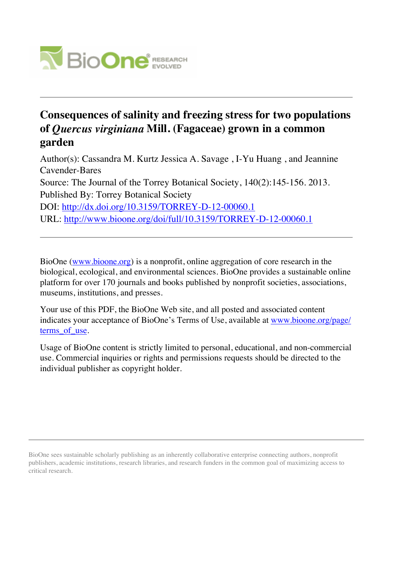

# **Consequences of salinity and freezing stress for two populations of** *Quercus virginiana* **Mill. (Fagaceae) grown in a common garden**

Author(s): Cassandra M. Kurtz Jessica A. Savage , I-Yu Huang , and Jeannine Cavender-Bares Source: The Journal of the Torrey Botanical Society, 140(2):145-156. 2013. Published By: Torrey Botanical Society DOI:<http://dx.doi.org/10.3159/TORREY-D-12-00060.1> URL: <http://www.bioone.org/doi/full/10.3159/TORREY-D-12-00060.1>

BioOne [\(www.bioone.org\)](http://www.bioone.org) is a nonprofit, online aggregation of core research in the biological, ecological, and environmental sciences. BioOne provides a sustainable online platform for over 170 journals and books published by nonprofit societies, associations, museums, institutions, and presses.

Your use of this PDF, the BioOne Web site, and all posted and associated content indicates your acceptance of BioOne's Terms of Use, available at [www.bioone.org/page/](http://www.bioone.org/page/terms_of_use) terms of use.

Usage of BioOne content is strictly limited to personal, educational, and non-commercial use. Commercial inquiries or rights and permissions requests should be directed to the individual publisher as copyright holder.

BioOne sees sustainable scholarly publishing as an inherently collaborative enterprise connecting authors, nonprofit publishers, academic institutions, research libraries, and research funders in the common goal of maximizing access to critical research.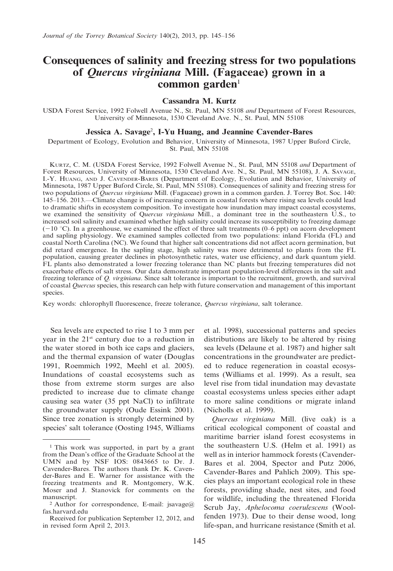## Consequences of salinity and freezing stress for two populations of Quercus virginiana Mill. (Fagaceae) grown in a common garden $1$

#### Cassandra M. Kurtz

USDA Forest Service, 1992 Folwell Avenue N., St. Paul, MN 55108 and Department of Forest Resources, University of Minnesota, 1530 Cleveland Ave. N., St. Paul, MN 55108

### Jessica A. Savage<sup>2</sup>, I-Yu Huang, and Jeannine Cavender-Bares

Department of Ecology, Evolution and Behavior, University of Minnesota, 1987 Upper Buford Circle, St. Paul, MN 55108

KURTZ, C. M. (USDA Forest Service, 1992 Folwell Avenue N., St. Paul, MN 55108 and Department of Forest Resources, University of Minnesota, 1530 Cleveland Ave. N., St. Paul, MN 55108), J. A. SAVAGE, I.-Y. HUANG, AND J. CAVENDER-BARES (Department of Ecology, Evolution and Behavior, University of Minnesota, 1987 Upper Buford Circle, St. Paul, MN 55108). Consequences of salinity and freezing stress for two populations of Quercus virginiana Mill. (Fagaceae) grown in a common garden. J. Torrey Bot. Soc. 140: 145–156. 2013.—Climate change is of increasing concern in coastal forests where rising sea levels could lead to dramatic shifts in ecosystem composition. To investigate how inundation may impact coastal ecosystems, we examined the sensitivity of Quercus virginiana Mill., a dominant tree in the southeastern U.S., to increased soil salinity and examined whether high salinity could increase its susceptibility to freezing damage  $(-10 \degree C)$ . In a greenhouse, we examined the effect of three salt treatments (0–6 ppt) on acorn development and sapling physiology. We examined samples collected from two populations: inland Florida (FL) and coastal North Carolina (NC). We found that higher salt concentrations did not affect acorn germination, but did retard emergence. In the sapling stage, high salinity was more detrimental to plants from the FL population, causing greater declines in photosynthetic rates, water use efficiency, and dark quantum yield. FL plants also demonstrated a lower freezing tolerance than NC plants but freezing temperatures did not exacerbate effects of salt stress. Our data demonstrate important population-level differences in the salt and freezing tolerance of Q. virginiana. Since salt tolerance is important to the recruitment, growth, and survival of coastal Quercus species, this research can help with future conservation and management of this important species.

Key words: chlorophyll fluorescence, freeze tolerance, Quercus virginiana, salt tolerance.

Sea levels are expected to rise 1 to 3 mm per year in the 21st century due to a reduction in the water stored in both ice caps and glaciers, and the thermal expansion of water (Douglas 1991, Roemmich 1992, Meehl et al. 2005). Inundations of coastal ecosystems such as those from extreme storm surges are also predicted to increase due to climate change causing sea water (35 ppt NaCl) to infiltrate the groundwater supply (Oude Essink 2001). Since tree zonation is strongly determined by species' salt tolerance (Oosting 1945, Williams

et al. 1998), successional patterns and species distributions are likely to be altered by rising sea levels (Delaune et al. 1987) and higher salt concentrations in the groundwater are predicted to reduce regeneration in coastal ecosystems (Williams et al. 1999). As a result, sea level rise from tidal inundation may devastate coastal ecosystems unless species either adapt to more saline conditions or migrate inland (Nicholls et al. 1999).

Quercus virginiana Mill. (live oak) is a critical ecological component of coastal and maritime barrier island forest ecosystems in the southeastern U.S. (Helm et al. 1991) as well as in interior hammock forests (Cavender-Bares et al. 2004, Spector and Putz 2006, Cavender-Bares and Pahlich 2009). This species plays an important ecological role in these forests, providing shade, nest sites, and food for wildlife, including the threatened Florida Scrub Jay, Aphelocoma coerulescens (Woolfenden 1973). Due to their dense wood, long life-span, and hurricane resistance (Smith et al.

<sup>&</sup>lt;sup>1</sup> This work was supported, in part by a grant from the Dean's office of the Graduate School at the UMN and by NSF IOS: 0843665 to Dr. J. Cavender-Bares. The authors thank Dr. K. Cavender-Bares and E. Warner for assistance with the freezing treatments and R. Montgomery, W.K. Moser and J. Stanovick for comments on the manuscript.<br><sup>2</sup> Author for correspondence, E-mail: jsavage@

fas.harvard.edu

Received for publication September 12, 2012, and in revised form April 2, 2013.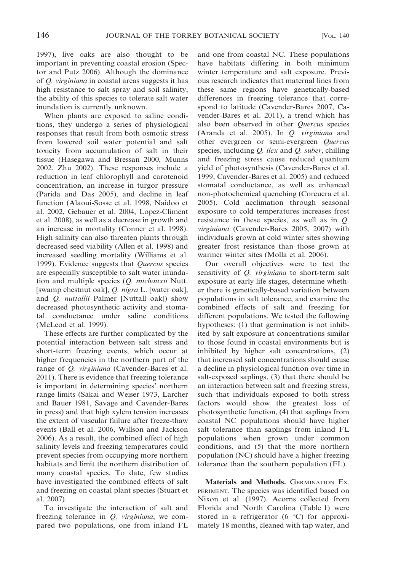1997), live oaks are also thought to be important in preventing coastal erosion (Spector and Putz 2006). Although the dominance of Q. virginiana in coastal areas suggests it has high resistance to salt spray and soil salinity, the ability of this species to tolerate salt water inundation is currently unknown.

When plants are exposed to saline conditions, they undergo a series of physiological responses that result from both osmotic stress from lowered soil water potential and salt toxicity from accumulation of salt in their tissue (Hasegawa and Bressan 2000, Munns 2002, Zhu 2002). These responses include a reduction in leaf chlorophyll and carotenoid concentration, an increase in turgor pressure (Parida and Das 2005), and decline in leaf function (Alaoui-Sosse et al. 1998, Naidoo et al. 2002, Gebauer et al. 2004, Lopez-Climent et al. 2008), as well as a decrease in growth and an increase in mortality (Conner et al. 1998). High salinity can also threaten plants through decreased seed viability (Allen et al. 1998) and increased seedling mortality (Williams et al. 1999). Evidence suggests that Quercus species are especially susceptible to salt water inundation and multiple species (*Q. michauxii* Nutt. [swamp chestnut oak], Q. nigra L. [water oak], and Q. nuttallii Palmer [Nuttall oak]) show decreased photosynthetic activity and stomatal conductance under saline conditions (McLeod et al. 1999).

These effects are further complicated by the potential interaction between salt stress and short-term freezing events, which occur at higher frequencies in the northern part of the range of *Q. virginiana* (Cavender-Bares et al. 2011). There is evidence that freezing tolerance is important in determining species' northern range limits (Sakai and Weiser 1973, Larcher and Bauer 1981, Savage and Cavender-Bares in press) and that high xylem tension increases the extent of vascular failure after freeze-thaw events (Ball et al. 2006, Willson and Jackson 2006). As a result, the combined effect of high salinity levels and freezing temperatures could prevent species from occupying more northern habitats and limit the northern distribution of many coastal species. To date, few studies have investigated the combined effects of salt and freezing on coastal plant species (Stuart et al. 2007).

To investigate the interaction of salt and freezing tolerance in *Q. virginiana*, we compared two populations, one from inland FL and one from coastal NC. These populations have habitats differing in both minimum winter temperature and salt exposure. Previous research indicates that maternal lines from these same regions have genetically-based differences in freezing tolerance that correspond to latitude (Cavender-Bares 2007, Cavender-Bares et al. 2011), a trend which has also been observed in other Quercus species (Aranda et al. 2005). In Q. virginiana and other evergreen or semi-evergreen Quercus species, including  $Q$ . ilex and  $Q$ . suber, chilling and freezing stress cause reduced quantum yield of photosynthesis (Cavender-Bares et al. 1999, Cavender-Bares et al. 2005) and reduced stomatal conductance, as well as enhanced non-photochemical quenching (Corcuera et al. 2005). Cold acclimation through seasonal exposure to cold temperatures increases frost resistance in these species, as well as in Q. virginiana (Cavender-Bares 2005, 2007) with individuals grown at cold winter sites showing greater frost resistance than those grown at warmer winter sites (Molla et al. 2006).

Our overall objectives were to test the sensitivity of Q. virginiana to short-term salt exposure at early life stages, determine whether there is genetically-based variation between populations in salt tolerance, and examine the combined effects of salt and freezing for different populations. We tested the following hypotheses: (1) that germination is not inhibited by salt exposure at concentrations similar to those found in coastal environments but is inhibited by higher salt concentrations, (2) that increased salt concentrations should cause a decline in physiological function over time in salt-exposed saplings, (3) that there should be an interaction between salt and freezing stress, such that individuals exposed to both stress factors would show the greatest loss of photosynthetic function, (4) that saplings from coastal NC populations should have higher salt tolerance than saplings from inland FL populations when grown under common conditions, and (5) that the more northern population (NC) should have a higher freezing tolerance than the southern population (FL).

Materials and Methods. GERMINATION EX-PERIMENT. The species was identified based on Nixon et al. (1997). Acorns collected from Florida and North Carolina (Table 1) were stored in a refrigerator  $(6 \degree C)$  for approximately 18 months, cleaned with tap water, and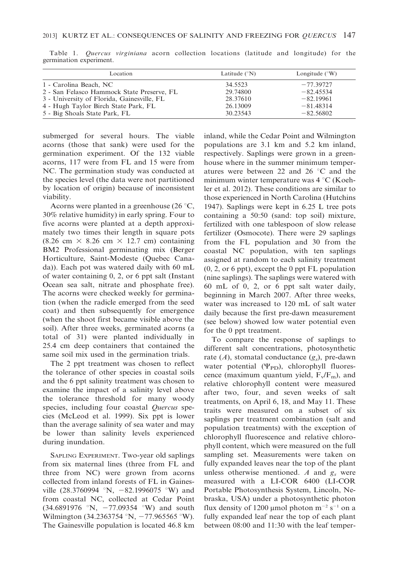| Location                                   | Latitude $({}^{\circ}N)$ | Longitude $(^{\circ}W)$ |
|--------------------------------------------|--------------------------|-------------------------|
| 1 - Carolina Beach, NC                     | 34.5523                  | $-77.39727$             |
| 2 - San Felasco Hammock State Preserve, FL | 29.74800                 | $-82.45534$             |
| 3 - University of Florida, Gainesville, FL | 28.37610                 | $-82.19961$             |
| 4 - Hugh Taylor Birch State Park, FL       | 26.13009                 | $-81.48314$             |
| 5 - Big Shoals State Park, FL              | 30.23543                 | $-82.56802$             |

Table 1. Quercus virginiana acorn collection locations (latitude and longitude) for the germination experiment.

submerged for several hours. The viable acorns (those that sank) were used for the germination experiment. Of the 132 viable acorns, 117 were from FL and 15 were from NC. The germination study was conducted at the species level (the data were not partitioned by location of origin) because of inconsistent viability.

Acorns were planted in a greenhouse (26 $\degree$ C, 30% relative humidity) in early spring. Four to five acorns were planted at a depth approximately two times their length in square pots  $(8.26 \text{ cm} \times 8.26 \text{ cm} \times 12.7 \text{ cm})$  containing BM2 Professional germinating mix (Berger Horticulture, Saint-Modeste (Quebec Canada)). Each pot was watered daily with 60 mL of water containing 0, 2, or 6 ppt salt (Instant Ocean sea salt, nitrate and phosphate free). The acorns were checked weekly for germination (when the radicle emerged from the seed coat) and then subsequently for emergence (when the shoot first became visible above the soil). After three weeks, germinated acorns (a total of 31) were planted individually in 25.4 cm deep containers that contained the same soil mix used in the germination trials.

The 2 ppt treatment was chosen to reflect the tolerance of other species in coastal soils and the 6 ppt salinity treatment was chosen to examine the impact of a salinity level above the tolerance threshold for many woody species, including four coastal Quercus species (McLeod et al. 1999). Six ppt is lower than the average salinity of sea water and may be lower than salinity levels experienced during inundation.

SAPLING EXPERIMENT. Two-year old saplings from six maternal lines (three from FL and three from NC) were grown from acorns collected from inland forests of FL in Gainesville  $(28.3760994 \text{ N}, -82.1996075 \text{ W})$  and from coastal NC, collected at Cedar Point  $(34.6891976 \text{°N}, -77.09354 \text{°W})$  and south Wilmington (34.2363754 °N,  $-77.965565$  °W). The Gainesville population is located 46.8 km inland, while the Cedar Point and Wilmington populations are 3.1 km and 5.2 km inland, respectively. Saplings were grown in a greenhouse where in the summer minimum temperatures were between 22 and 26  $\degree$ C and the minimum winter temperature was  $4^{\circ}$ C (Koehler et al. 2012). These conditions are similar to those experienced in North Carolina (Hutchins 1947). Saplings were kept in 6.25 L tree pots containing a 50:50 (sand: top soil) mixture, fertilized with one tablespoon of slow release fertilizer (Osmocote). There were 29 saplings from the FL population and 30 from the coastal NC population, with ten saplings assigned at random to each salinity treatment (0, 2, or 6 ppt), except the 0 ppt FL population (nine saplings). The saplings were watered with 60 mL of 0, 2, or 6 ppt salt water daily, beginning in March 2007. After three weeks, water was increased to 120 mL of salt water daily because the first pre-dawn measurement (see below) showed low water potential even for the 0 ppt treatment.

To compare the response of saplings to different salt concentrations, photosynthetic rate  $(A)$ , stomatal conductance  $(g_s)$ , pre-dawn water potential  $(\Psi_{\rm PD})$ , chlorophyll fluorescence (maximum quantum yield,  $F_v/F_m$ ), and relative chlorophyll content were measured after two, four, and seven weeks of salt treatments, on April 6, 18, and May 11. These traits were measured on a subset of six saplings per treatment combination (salt and population treatments) with the exception of chlorophyll fluorescence and relative chlorophyll content, which were measured on the full sampling set. Measurements were taken on fully expanded leaves near the top of the plant unless otherwise mentioned. A and  $g_s$  were measured with a LI-COR 6400 (LI-COR Portable Photosynthesis System, Lincoln, Nebraska, USA) under a photosynthetic photon flux density of 1200 µmol photon  $m^{-2}$  s<sup>-1</sup> on a fully expanded leaf near the top of each plant between 08:00 and 11:30 with the leaf temper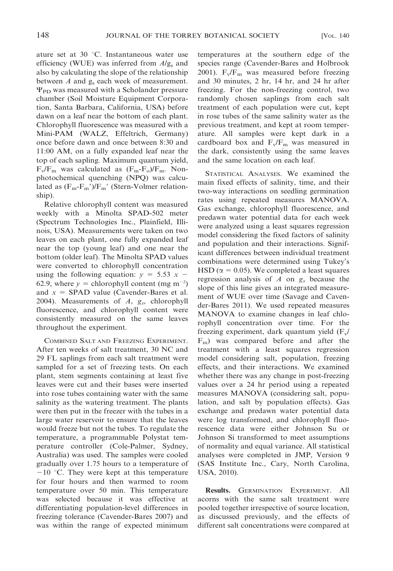ature set at  $30^{\circ}$ C. Instantaneous water use efficiency (WUE) was inferred from  $A/g<sub>s</sub>$  and also by calculating the slope of the relationship between  $A$  and  $g_s$  each week of measurement.  $\Psi_{\rm PD}$  was measured with a Scholander pressure chamber (Soil Moisture Equipment Corporation, Santa Barbara, California, USA) before dawn on a leaf near the bottom of each plant. Chlorophyll fluorescence was measured with a Mini-PAM (WALZ, Effeltrich, Germany) once before dawn and once between 8:30 and 11:00 AM, on a fully expanded leaf near the top of each sapling. Maximum quantum yield,  $F_v/F_m$  was calculated as  $(F_m-F_o)/F_m$ . Nonphotochemical quenching (NPQ) was calculated as  $(F_m-F_m')/F_m'$  (Stern-Volmer relationship).

Relative chlorophyll content was measured weekly with a Minolta SPAD-502 meter (Spectrum Technologies Inc., Plainfield, Illinois, USA). Measurements were taken on two leaves on each plant, one fully expanded leaf near the top (young leaf) and one near the bottom (older leaf). The Minolta SPAD values were converted to chlorophyll concentration using the following equation:  $y = 5.53 x -$ 62.9, where  $y =$  chlorophyll content (mg m<sup>-2</sup>) and  $x =$  SPAD value (Cavender-Bares et al. 2004). Measurements of  $A$ ,  $g_s$ , chlorophyll fluorescence, and chlorophyll content were consistently measured on the same leaves throughout the experiment.

COMBINED SALT AND FREEZING EXPERIMENT. After ten weeks of salt treatment, 30 NC and 29 FL saplings from each salt treatment were sampled for a set of freezing tests. On each plant, stem segments containing at least five leaves were cut and their bases were inserted into rose tubes containing water with the same salinity as the watering treatment. The plants were then put in the freezer with the tubes in a large water reservoir to ensure that the leaves would freeze but not the tubes. To regulate the temperature, a programmable Polystat temperature controller (Cole-Palmer, Sydney, Australia) was used. The samples were cooled gradually over 1.75 hours to a temperature of  $-10$  °C. They were kept at this temperature for four hours and then warmed to room temperature over 50 min. This temperature was selected because it was effective at differentiating population-level differences in freezing tolerance (Cavender-Bares 2007) and was within the range of expected minimum temperatures at the southern edge of the species range (Cavender-Bares and Holbrook 2001).  $F_v/F_m$  was measured before freezing and 30 minutes, 2 hr, 14 hr, and 24 hr after freezing. For the non-freezing control, two randomly chosen saplings from each salt treatment of each population were cut, kept in rose tubes of the same salinity water as the previous treatment, and kept at room temperature. All samples were kept dark in a cardboard box and  $F_v/F_m$  was measured in the dark, consistently using the same leaves and the same location on each leaf.

STATISTICAL ANALYSES. We examined the main fixed effects of salinity, time, and their two-way interactions on seedling germination rates using repeated measures MANOVA. Gas exchange, chlorophyll fluorescence, and predawn water potential data for each week were analyzed using a least squares regression model considering the fixed factors of salinity and population and their interactions. Significant differences between individual treatment combinations were determined using Tukey's HSD ( $\alpha = 0.05$ ). We completed a least squares regression analysis of  $A$  on  $g_s$  because the slope of this line gives an integrated measurement of WUE over time (Savage and Cavender-Bares 2011). We used repeated measures MANOVA to examine changes in leaf chlorophyll concentration over time. For the freezing experiment, dark quantum yield  $(F_v /$  $F_m$ ) was compared before and after the treatment with a least squares regression model considering salt, population, freezing effects, and their interactions. We examined whether there was any change in post-freezing values over a 24 hr period using a repeated measures MANOVA (considering salt, population, and salt by population effects). Gas exchange and predawn water potential data were log transformed, and chlorophyll fluorescence data were either Johnson Su or Johnson Si transformed to meet assumptions of normality and equal variance. All statistical analyses were completed in JMP, Version 9 (SAS Institute Inc., Cary, North Carolina, USA, 2010).

Results. GERMINATION EXPERIMENT. All acorns with the same salt treatment were pooled together irrespective of source location, as discussed previously, and the effects of different salt concentrations were compared at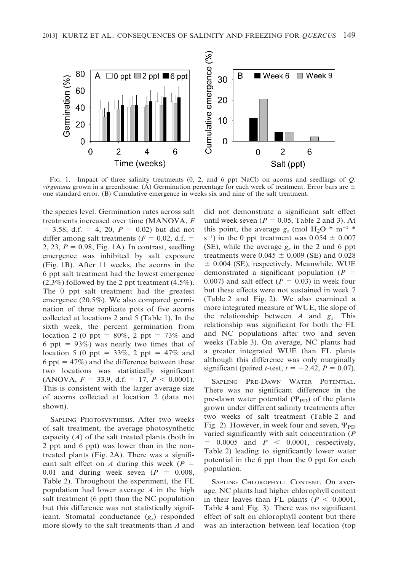

FIG. 1. Impact of three salinity treatments (0, 2, and 6 ppt NaCl) on acorns and seedlings of Q. virginiana grown in a greenhouse. (A) Germination percentage for each week of treatment. Error bars are  $\pm$ one standard error. (B) Cumulative emergence in weeks six and nine of the salt treatment.

the species level. Germination rates across salt treatments increased over time (MANOVA, F  $= 3.58$ , d.f.  $= 4$ , 20,  $P = 0.02$ ) but did not differ among salt treatments ( $F = 0.02$ , d.f. = 2, 23,  $P = 0.98$ , Fig. 1A). In contrast, seedling emergence was inhibited by salt exposure (Fig. 1B). After 11 weeks, the acorns in the 6 ppt salt treatment had the lowest emergence (2.3%) followed by the 2 ppt treatment (4.5%). The 0 ppt salt treatment had the greatest emergence (20.5%). We also compared germination of three replicate pots of five acorns collected at locations 2 and 5 (Table 1). In the sixth week, the percent germination from location 2 (0 ppt =  $80\%$ , 2 ppt = 73% and 6 ppt =  $93\%$ ) was nearly two times that of location 5 (0 ppt =  $33\%$ , 2 ppt =  $47\%$  and 6 ppt =  $47\%$ ) and the difference between these two locations was statistically significant (ANOVA,  $F = 33.9$ , d.f. = 17,  $P < 0.0001$ ). This is consistent with the larger average size of acorns collected at location 2 (data not shown).

SAPLING PHOTOSYNTHESIS. After two weeks of salt treatment, the average photosynthetic capacity  $(A)$  of the salt treated plants (both in 2 ppt and 6 ppt) was lower than in the nontreated plants (Fig. 2A). There was a significant salt effect on A during this week ( $P =$ 0.01 and during week seven  $(P = 0.008,$ Table 2). Throughout the experiment, the FL population had lower average A in the high salt treatment (6 ppt) than the NC population but this difference was not statistically significant. Stomatal conductance  $(g_s)$  responded more slowly to the salt treatments than A and

did not demonstrate a significant salt effect until week seven ( $P = 0.05$ , Table 2 and 3). At this point, the average  $g_s$  (mol H<sub>2</sub>O \* m<sup>-2</sup> \*  $(s^{-1})$  in the 0 ppt treatment was  $0.054 \pm 0.007$ (SE), while the average  $g_s$  in the 2 and 6 ppt treatments were  $0.045 \pm 0.009$  (SE) and 0.028  $\pm$  0.004 (SE), respectively. Meanwhile, WUE demonstrated a significant population ( $P =$ 0.007) and salt effect ( $P = 0.03$ ) in week four but these effects were not sustained in week 7 (Table 2 and Fig. 2). We also examined a more integrated measure of WUE, the slope of the relationship between  $A$  and  $g_s$ . This relationship was significant for both the FL and NC populations after two and seven weeks (Table 3). On average, NC plants had a greater integrated WUE than FL plants although this difference was only marginally significant (paired *t*-test,  $t = -2.42$ ,  $P = 0.07$ ).

SAPLING PRE-DAWN WATER POTENTIAL. There was no significant difference in the pre-dawn water potential  $(\Psi_{\text{PD}})$  of the plants grown under different salinity treatments after two weeks of salt treatment (Table 2 and Fig. 2). However, in week four and seven,  $\Psi_{\text{PD}}$ varied significantly with salt concentration (P  $= 0.0005$  and  $P < 0.0001$ , respectively, Table 2) leading to significantly lower water potential in the 6 ppt than the 0 ppt for each population.

SAPLING CHLOROPHYLL CONTENT. On average, NC plants had higher chlorophyll content in their leaves than FL plants ( $P < 0.0001$ , Table 4 and Fig. 3). There was no significant effect of salt on chlorophyll content but there was an interaction between leaf location (top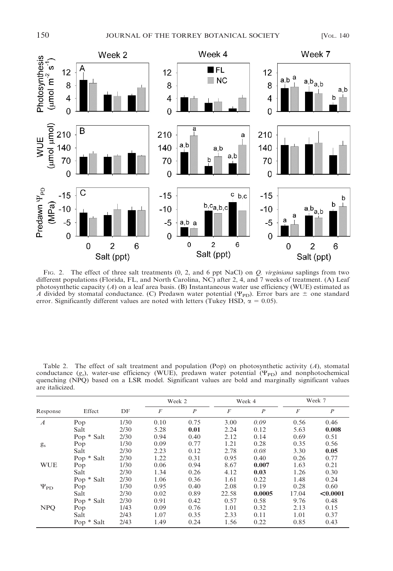

FIG. 2. The effect of three salt treatments  $(0, 2,$  and 6 ppt NaCl) on  $Q$ . *virginiana* saplings from two different populations (Florida, FL, and North Carolina, NC) after 2, 4, and 7 weeks of treatment. (A) Leaf photosynthetic capacity  $(A)$  on a leaf area basis. (B) Instantaneous water use efficiency (WUE) estimated as A divided by stomatal conductance. (C) Predawn water potential ( $\Psi_{\text{PD}}$ ). Error bars are  $\pm$  one standard error. Significantly different values are noted with letters (Tukey HSD,  $\alpha = 0.05$ ).

| Table 2. The effect of salt treatment and population (Pop) on photosynthetic activity $(A)$ , stomatal             |  |
|--------------------------------------------------------------------------------------------------------------------|--|
| conductance $(g_0)$ , water-use efficiency (WUE), predawn water potential ( $\Psi_{\rm PD}$ ) and nonphotochemical |  |
| quenching (NPO) based on a LSR model. Significant values are bold and marginally significant values                |  |
| are italicized.                                                                                                    |  |

|                    |            |      | Week 2 |                  |                  | Week 4           | Week 7         |                  |
|--------------------|------------|------|--------|------------------|------------------|------------------|----------------|------------------|
| Response           | Effect     | DF   | F      | $\boldsymbol{P}$ | $\boldsymbol{F}$ | $\boldsymbol{P}$ | $\overline{F}$ | $\boldsymbol{P}$ |
| $\boldsymbol{A}$   | Pop        | 1/30 | 0.10   | 0.75             | 3.00             | 0.09             | 0.56           | 0.46             |
|                    | Salt       | 2/30 | 5.28   | 0.01             | 2.24             | 0.12             | 5.63           | 0.008            |
|                    | Pop * Salt | 2/30 | 0.94   | 0.40             | 2.12             | 0.14             | 0.69           | 0.51             |
| $g_s$              | Pop        | 1/30 | 0.09   | 0.77             | 1.21             | 0.28             | 0.35           | 0.56             |
|                    | Salt       | 2/30 | 2.23   | 0.12             | 2.78             | 0.08             | 3.30           | 0.05             |
|                    | Pop * Salt | 2/30 | 1.22   | 0.31             | 0.95             | 0.40             | 0.26           | 0.77             |
| <b>WUE</b>         | Pop        | 1/30 | 0.06   | 0.94             | 8.67             | 0.007            | 1.63           | 0.21             |
|                    | Salt       | 2/30 | 1.34   | 0.26             | 4.12             | 0.03             | 1.26           | 0.30             |
|                    | Pop * Salt | 2/30 | 1.06   | 0.36             | 1.61             | 0.22             | 1.48           | 0.24             |
| $\Psi_{\text{PD}}$ | Pop        | 1/30 | 0.95   | 0.40             | 2.08             | 0.19             | 0.28           | 0.60             |
|                    | Salt       | 2/30 | 0.02   | 0.89             | 22.58            | 0.0005           | 17.04          | < 0.0001         |
|                    | Pop * Salt | 2/30 | 0.91   | 0.42             | 0.57             | 0.58             | 9.76           | 0.48             |
| <b>NPQ</b>         | Pop        | 1/43 | 0.09   | 0.76             | 1.01             | 0.32             | 2.13           | 0.15             |
|                    | Salt       | 2/43 | 1.07   | 0.35             | 2.33             | 0.11             | 1.01           | 0.37             |
|                    | Pop * Salt | 2/43 | 1.49   | 0.24             | 1.56             | 0.22             | 0.85           | 0.43             |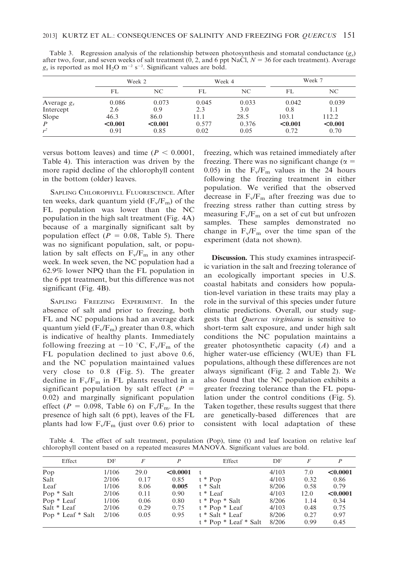|                  | Week 2  |         |       | Week 4 | Week 7  |         |  |
|------------------|---------|---------|-------|--------|---------|---------|--|
|                  | FL      | NC.     | FL    | NC     | FL      | NC.     |  |
| Average $g_s$    | 0.086   | 0.073   | 0.045 | 0.033  | 0.042   | 0.039   |  |
| Intercept        | 2.6     | 0.9     | 2.3   | 3.0    | 0.8     | 1.1     |  |
| Slope            | 46.3    | 86.0    | 11.1  | 28.5   | 103.1   | 112.2   |  |
| $\boldsymbol{P}$ | < 0.001 | < 0.001 | 0.577 | 0.376  | < 0.001 | < 0.001 |  |
| $r^2$            | 0.91    | 0.85    | 0.02  | 0.05   | 0.72    | 0.70    |  |

Table 3. Regression analysis of the relationship between photosynthesis and stomatal conductance  $(g<sub>s</sub>)$ after two, four, and seven weeks of salt treatment  $(0, 2,$  and 6 ppt NaCl,  $N = 36$  for each treatment). Average  $g_s$  is reported as mol H<sub>2</sub>O m<sup>-2</sup> s<sup>-2</sup>. Significant values are bold.

versus bottom leaves) and time ( $P < 0.0001$ , Table 4). This interaction was driven by the more rapid decline of the chlorophyll content in the bottom (older) leaves.

SAPLING CHLOROPHYLL FLUORESCENCE. After ten weeks, dark quantum yield  $(F_v/F_m)$  of the FL population was lower than the NC population in the high salt treatment (Fig. 4A) because of a marginally significant salt by population effect ( $P = 0.08$ , Table 5). There was no significant population, salt, or population by salt effects on  $F_v/F_m$  in any other week. In week seven, the NC population had a 62.9% lower NPQ than the FL population in the 6 ppt treatment, but this difference was not significant (Fig. 4B).

SAPLING FREEZING EXPERIMENT. In the absence of salt and prior to freezing, both FL and NC populations had an average dark quantum yield  $(F_v/F_m)$  greater than 0.8, which is indicative of healthy plants. Immediately following freezing at  $-10$  °C, F<sub>v</sub>/F<sub>m</sub> of the FL population declined to just above 0.6, and the NC population maintained values very close to 0.8 (Fig. 5). The greater decline in  $F_v/F_m$  in FL plants resulted in a significant population by salt effect ( $P =$ 0.02) and marginally significant population effect ( $P = 0.098$ , Table 6) on  $F_v/F_m$ . In the presence of high salt (6 ppt), leaves of the FL plants had low  $F_v/F_m$  (just over 0.6) prior to

freezing, which was retained immediately after freezing. There was no significant change ( $\alpha =$ 0.05) in the  $F_v/F_m$  values in the 24 hours following the freezing treatment in either population. We verified that the observed decrease in  $F_v/F_m$  after freezing was due to freezing stress rather than cutting stress by measuring  $F_v/F_m$  on a set of cut but unfrozen samples. These samples demonstrated no change in  $F_v/F_m$  over the time span of the experiment (data not shown).

Discussion. This study examines intraspecific variation in the salt and freezing tolerance of an ecologically important species in U.S. coastal habitats and considers how population-level variation in these traits may play a role in the survival of this species under future climatic predictions. Overall, our study suggests that *Quercus virginiana* is sensitive to short-term salt exposure, and under high salt conditions the NC population maintains a greater photosynthetic capacity  $(A)$  and a higher water-use efficiency (WUE) than FL populations, although these differences are not always significant (Fig. 2 and Table 2). We also found that the NC population exhibits a greater freezing tolerance than the FL population under the control conditions (Fig. 5). Taken together, these results suggest that there are genetically-based differences that are consistent with local adaptation of these

Table 4. The effect of salt treatment, population (Pop), time (t) and leaf location on relative leaf chlorophyll content based on a repeated measures MANOVA. Significant values are bold.

| Effect            | DF    | F    | P        | Effect                  | DF    | F    | P        |
|-------------------|-------|------|----------|-------------------------|-------|------|----------|
| Pop               | 1/106 | 29.0 | < 0.0001 | $-t$                    | 4/103 | 7.0  | < 0.0001 |
| Salt              | 2/106 | 0.17 | 0.85     | $t * Pop$               | 4/103 | 0.32 | 0.86     |
| Leaf              | 1/106 | 8.06 | 0.005    | t * Salt                | 8/206 | 0.58 | 0.79     |
| Pop * Salt        | 2/106 | 0.11 | 0.90     | t * Leaf                | 4/103 | 12.0 | < 0.0001 |
| Pop * Leaf        | 1/106 | 0.06 | 0.80     | $t * Pop * Salt$        | 8/206 | 1.14 | 0.34     |
| Salt * Leaf       | 2/106 | 0.29 | 0.75     | $t * Pop * Leaf$        | 4/103 | 0.48 | 0.75     |
| Pop * Leaf * Salt | 2/106 | 0.05 | 0.95     | $t * Salt * Leaf$       | 8/206 | 0.27 | 0.97     |
|                   |       |      |          | $t * Pop * Leaf * Salt$ | 8/206 | 0.99 | 0.45     |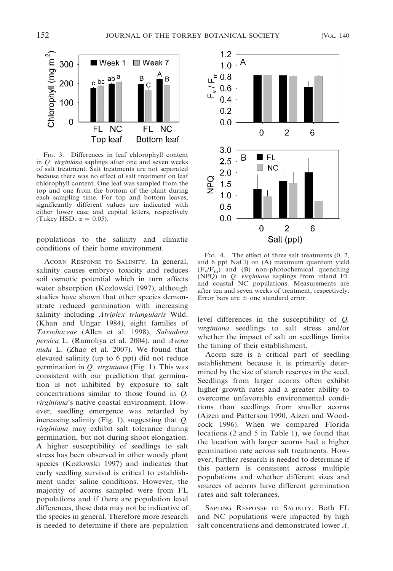

FIG. 3. Differences in leaf chlorophyll content in Q. virginiana saplings after one and seven weeks of salt treatment. Salt treatments are not separated because there was no effect of salt treatment on leaf chlorophyll content. One leaf was sampled from the top and one from the bottom of the plant during each sampling time. For top and bottom leaves, significantly different values are indicated with either lower case and capital letters, respectively (Tukey HSD,  $\alpha = 0.05$ ).

populations to the salinity and climatic conditions of their home environment.

ACORN RESPONSE TO SALINITY. In general, salinity causes embryo toxicity and reduces soil osmotic potential which in turn affects water absorption (Kozlowski 1997), although studies have shown that other species demonstrate reduced germination with increasing salinity including Atriplex triangularis Wild. (Khan and Ungar 1984), eight families of Taxodiaceae (Allen et al. 1998), Salvadora persica L. (Ramoliya et al. 2004), and Avena nuda L. (Zhao et al. 2007). We found that elevated salinity (up to 6 ppt) did not reduce germination in Q. virginiana (Fig. 1). This was consistent with our prediction that germination is not inhibited by exposure to salt concentrations similar to those found in Q. virginiana's native coastal environment. However, seedling emergence was retarded by increasing salinity (Fig. 1), suggesting that  $Q$ . virginiana may exhibit salt tolerance during germination, but not during shoot elongation. A higher susceptibility of seedlings to salt stress has been observed in other woody plant species (Kozlowski 1997) and indicates that early seedling survival is critical to establishment under saline conditions. However, the majority of acorns sampled were from FL populations and if there are population level differences, these data may not be indicative of the species in general. Therefore more research is needed to determine if there are population



FIG. 4. The effect of three salt treatments  $(0, 2, 1)$ and 6 ppt NaCl) on (A) maximum quantum yield  $(F_v/F_m)$  and (B) non-photochemical quenching (NPQ) in Q. virginiana saplings from inland FL and coastal NC populations. Measurements are after ten and seven weeks of treatment, respectively. Error bars are  $\pm$  one standard error.

level differences in the susceptibility of Q. virginiana seedlings to salt stress and/or whether the impact of salt on seedlings limits the timing of their establishment.

Acorn size is a critical part of seedling establishment because it is primarily determined by the size of starch reserves in the seed. Seedlings from larger acorns often exhibit higher growth rates and a greater ability to overcome unfavorable environmental conditions than seedlings from smaller acorns (Aizen and Patterson 1990, Aizen and Woodcock 1996). When we compared Florida locations (2 and 5 in Table 1), we found that the location with larger acorns had a higher germination rate across salt treatments. However, further research is needed to determine if this pattern is consistent across multiple populations and whether different sizes and sources of acorns have different germination rates and salt tolerances.

SAPLING RESPONSE TO SALINITY. Both FL and NC populations were impacted by high salt concentrations and demonstrated lower A,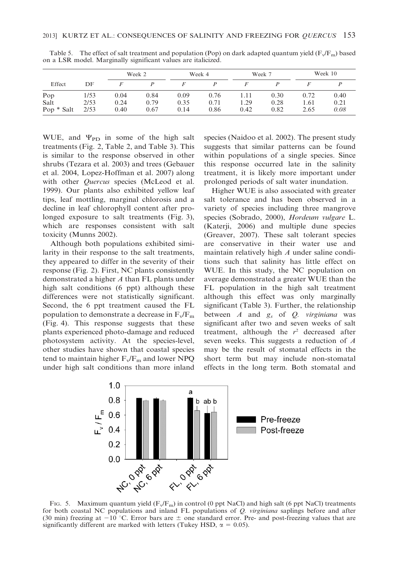|            |      |      | Week 2 | Week 4 |      | Week 7 |      | Week 10 |      |
|------------|------|------|--------|--------|------|--------|------|---------|------|
| Effect     | DF   |      |        |        |      |        |      |         |      |
| Pop        | 1/53 | 0.04 | 0.84   | 0.09   | 0.76 | 1.11   | 0.30 | 0.72    | 0.40 |
| Salt       | 2/53 | 0.24 | 0.79   | 0.35   | 0.71 | 1.29   | 0.28 | 1.61    | 0.21 |
| Pop * Salt | 2/53 | 0.40 | 0.67   | 0.14   | 0.86 | 0.42   | 0.82 | 2.65    | 0.08 |

Table 5. The effect of salt treatment and population (Pop) on dark adapted quantum yield  $(F_v/F_m)$  based on a LSR model. Marginally significant values are italicized.

WUE, and  $\Psi_{\text{PD}}$  in some of the high salt treatments (Fig. 2, Table 2, and Table 3). This is similar to the response observed in other shrubs (Tezara et al. 2003) and trees (Gebauer et al. 2004, Lopez-Hoffman et al. 2007) along with other Quercus species (McLeod et al. 1999). Our plants also exhibited yellow leaf tips, leaf mottling, marginal chlorosis and a decline in leaf chlorophyll content after prolonged exposure to salt treatments (Fig. 3), which are responses consistent with salt toxicity (Munns 2002).

Although both populations exhibited similarity in their response to the salt treatments, they appeared to differ in the severity of their response (Fig. 2). First, NC plants consistently demonstrated a higher A than FL plants under high salt conditions (6 ppt) although these differences were not statistically significant. Second, the 6 ppt treatment caused the FL population to demonstrate a decrease in  $F_v/F_m$ (Fig. 4). This response suggests that these plants experienced photo-damage and reduced photosystem activity. At the species-level, other studies have shown that coastal species tend to maintain higher  $F_v/F_m$  and lower NPQ under high salt conditions than more inland species (Naidoo et al. 2002). The present study suggests that similar patterns can be found within populations of a single species. Since this response occurred late in the salinity treatment, it is likely more important under prolonged periods of salt water inundation.

Higher WUE is also associated with greater salt tolerance and has been observed in a variety of species including three mangrove species (Sobrado, 2000), Hordeum vulgare L. (Katerji, 2006) and multiple dune species (Greaver, 2007). These salt tolerant species are conservative in their water use and maintain relatively high A under saline conditions such that salinity has little effect on WUE. In this study, the NC population on average demonstrated a greater WUE than the FL population in the high salt treatment although this effect was only marginally significant (Table 3). Further, the relationship between  $A$  and  $g_s$  of  $Q$ . virginiana was significant after two and seven weeks of salt treatment, although the  $r^2$  decreased after seven weeks. This suggests a reduction of A may be the result of stomatal effects in the short term but may include non-stomatal effects in the long term. Both stomatal and



FIG. 5. Maximum quantum yield  $(F_v/F_m)$  in control (0 ppt NaCl) and high salt (6 ppt NaCl) treatments for both coastal NC populations and inland FL populations of Q. virginiana saplings before and after (30 min) freezing at  $-10$  °C. Error bars are  $\pm$  one standard error. Pre- and post-freezing values that are significantly different are marked with letters (Tukey HSD,  $\alpha = 0.05$ ).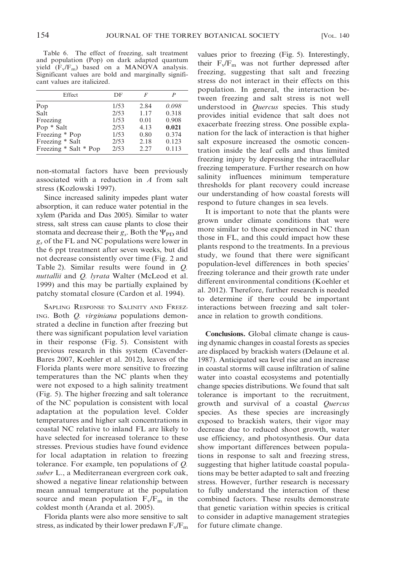Table 6. The effect of freezing, salt treatment and population (Pop) on dark adapted quantum yield  $(F_v/F_m)$  based on a MANOVA analysis. Significant values are bold and marginally significant values are italicized.

| Effect                | DF   | F    | $\boldsymbol{P}$ |
|-----------------------|------|------|------------------|
| Pop                   | 1/53 | 2.84 | 0.098            |
| Salt                  | 2/53 | 1.17 | 0.318            |
| Freezing              | 1/53 | 0.01 | 0.908            |
| Pop * Salt            | 2/53 | 4.13 | 0.021            |
| Freezing * Pop        | 1/53 | 0.80 | 0.374            |
| Freezing * Salt       | 2/53 | 2.18 | 0.123            |
| Freezing * Salt * Pop | 2/53 | 2.27 | 0.113            |

non-stomatal factors have been previously associated with a reduction in A from salt stress (Kozlowski 1997).

Since increased salinity impedes plant water absorption, it can reduce water potential in the xylem (Parida and Das 2005). Similar to water stress, salt stress can cause plants to close their stomata and decrease their  $g_s$ . Both the  $\Psi_{\text{PD}}$  and  $g_s$  of the FL and NC populations were lower in the 6 ppt treatment after seven weeks, but did not decrease consistently over time (Fig. 2 and Table 2). Similar results were found in Q. nuttallii and Q. lyrata Walter (McLeod et al. 1999) and this may be partially explained by patchy stomatal closure (Cardon et al. 1994).

SAPLING RESPONSE TO SALINITY AND FREEZ-ING. Both Q. virginiana populations demonstrated a decline in function after freezing but there was significant population level variation in their response (Fig. 5). Consistent with previous research in this system (Cavender-Bares 2007, Koehler et al. 2012), leaves of the Florida plants were more sensitive to freezing temperatures than the NC plants when they were not exposed to a high salinity treatment (Fig. 5). The higher freezing and salt tolerance of the NC population is consistent with local adaptation at the population level. Colder temperatures and higher salt concentrations in coastal NC relative to inland FL are likely to have selected for increased tolerance to these stresses. Previous studies have found evidence for local adaptation in relation to freezing tolerance. For example, ten populations of Q. suber L., a Mediterranean evergreen cork oak, showed a negative linear relationship between mean annual temperature at the population source and mean population  $F_v/F_m$  in the coldest month (Aranda et al. 2005).

Florida plants were also more sensitive to salt stress, as indicated by their lower predawn  $F_v/F_m$  values prior to freezing (Fig. 5). Interestingly, their  $F_v/F_m$  was not further depressed after freezing, suggesting that salt and freezing stress do not interact in their effects on this population. In general, the interaction between freezing and salt stress is not well understood in *Quercus* species. This study provides initial evidence that salt does not exacerbate freezing stress. One possible explanation for the lack of interaction is that higher salt exposure increased the osmotic concentration inside the leaf cells and thus limited freezing injury by depressing the intracellular freezing temperature. Further research on how salinity influences minimum temperature thresholds for plant recovery could increase our understanding of how coastal forests will respond to future changes in sea levels.

It is important to note that the plants were grown under climate conditions that were more similar to those experienced in NC than those in FL, and this could impact how these plants respond to the treatments. In a previous study, we found that there were significant population-level differences in both species' freezing tolerance and their growth rate under different environmental conditions (Koehler et al. 2012). Therefore, further research is needed to determine if there could be important interactions between freezing and salt tolerance in relation to growth conditions.

Conclusions. Global climate change is causing dynamic changes in coastal forests as species are displaced by brackish waters (Delaune et al. 1987). Anticipated sea level rise and an increase in coastal storms will cause infiltration of saline water into coastal ecosystems and potentially change species distributions. We found that salt tolerance is important to the recruitment, growth and survival of a coastal Quercus species. As these species are increasingly exposed to brackish waters, their vigor may decrease due to reduced shoot growth, water use efficiency, and photosynthesis. Our data show important differences between populations in response to salt and freezing stress, suggesting that higher latitude coastal populations may be better adapted to salt and freezing stress. However, further research is necessary to fully understand the interaction of these combined factors. These results demonstrate that genetic variation within species is critical to consider in adaptive management strategies for future climate change.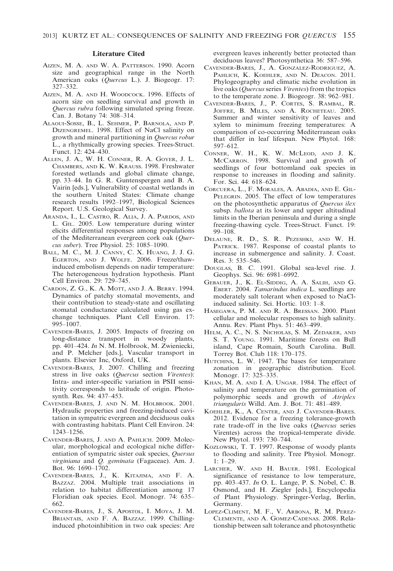#### Literature Cited

- AIZEN, M. A. AND W. A. PATTERSON. 1990. Acorn size and geographical range in the North American oaks (Quercus L.). J. Biogeogr. 17: 327–332.
- AIZEN, M. A. AND H. WOODCOCK. 1996. Effects of acorn size on seedling survival and growth in Quercus rubra following simulated spring freeze. Can. J. Botany 74: 308–314.
- ALAOUI-SOSSE, B., L. SEHMER, P. BARNOLA, AND P. DIZENGREMEL. 1998. Effect of NaCl salinity on growth and mineral partitioning in Quercus robur L., a rhythmically growing species. Trees-Struct. Funct. 12: 424–430.
- ALLEN, J. A., W. H. CONNER, R. A. GOYER, J. L. CHAMBERS, AND K. W. KRAUSS. 1998. Freshwater forested wetlands and global climate change, pp. 33–44. In G. R. Guntenspergen and B. A. Vairin [eds.], Vulnerability of coastal wetlands in the southern United States: Climate change research results 1992–1997, Biological Sciences Report. U.S. Geological Survey.
- ARANDA, I., L. CASTRO, R. ALIA, J. A. PARDOS, AND L. GIL. 2005. Low temperature during winter elicits differential responses among populations of the Mediterranean evergreen cork oak (Quercus suber). Tree Physiol. 25: 1085–1090.
- BALL, M. C., M. J. CANNY, C. X. HUANG, J. J. G. EGERTON, AND J. WOLFE. 2006. Freeze/thawinduced embolism depends on nadir temperature: The heterogeneous hydration hypothesis. Plant Cell Environ. 29: 729–745.
- CARDON, Z. G., K. A. MOTT, AND J. A. BERRY. 1994. Dynamics of patchy stomatal movements, and their contribution to steady-state and oscillating stomatal conductance calculated using gas exchange techniques. Plant Cell Environ. 17: 995–1007.
- CAVENDER-BARES, J. 2005. Impacts of freezing on long-distance transport in woody plants, pp. 401–424. In N. M. Holbrook, M. Zwieniecki, and P. Melcher [eds.], Vascular transport in plants. Elsevier Inc, Oxford, UK.
- CAVENDER-BARES, J. 2007. Chilling and freezing stress in live oaks (Quercus section Virentes): Intra- and inter-specific variation in PSII sensitivity corresponds to latitude of origin. Photosynth. Res. 94: 437–453.
- CAVENDER-BARES, J. AND N. M. HOLBROOK. 2001. Hydraulic properties and freezing-induced cavitation in sympatric evergreen and deciduous oaks with contrasting habitats. Plant Cell Environ. 24: 1243–1256.
- CAVENDER-BARES, J. AND A. PAHLICH. 2009. Molecular, morphological and ecological niche differentiation of sympatric sister oak species, Quersus virginiana and Q. geminata (Fagaceae). Am. J. Bot. 96: 1690–1702.
- CAVENDER-BARES, J., K. KITAJIMA, AND F. A. BAZZAZ. 2004. Multiple trait associations in relation to habitat differentiation among 17 Floridian oak species. Ecol. Monogr. 74: 635– 662.
- CAVENDER-BARES, J., S. APOSTOL, I. MOYA, J. M. BRIANTAIS, AND F. A. BAZZAZ. 1999. Chillinginduced photoinhibition in two oak species: Are

evergreen leaves inherently better protected than deciduous leaves? Photosynthetica 36: 587–596.

- CAVENDER-BARES, J., A. GONZALEZ-RODRIGUEZ, A. PAHLICH, K. KOEHLER, AND N. DEACON. 2011. Phylogeography and climatic niche evolution in live oaks (*Quercus* series *Virentes*) from the tropics to the temperate zone. J. Biogeogr. 38: 962–981.
- CAVENDER-BARES, J., P. CORTES, S. RAMBAL, R. JOFFRE, B. MILES, AND A. ROCHETEAU. 2005. Summer and winter sensitivity of leaves and xylem to minimum freezing temperatures: A comparison of co-occurring Mediterranean oaks that differ in leaf lifespan. New Phytol. 168: 597–612.
- CONNER, W. H., K. W. MCLEOD, AND J. K. MCCARRON. 1998. Survival and growth of seedlings of four bottomland oak species in response to increases in flooding and salinity. For. Sci. 44: 618–624.
- CORCUERA, L., F. MORALES, A. ABADIA, AND E. GIL-PELEGRIN. 2005. The effect of low temperatures on the photosynthetic apparatus of Quercus ilex subsp. ballota at its lower and upper altitudinal limits in the Iberian peninsula and during a single freezing-thawing cycle. Trees-Struct. Funct. 19: 99–108.
- DELAUNE, R. D., S. R. PEZESHKI, AND W. H. PATRICK. 1987. Response of coastal plants to increase in submergence and salinity. J. Coast. Res. 3: 535–546.
- DOUGLAS, B. C. 1991. Global sea-level rise. J. Geophys. Sci. 96: 6981–6992.
- GEBAUER, J., K. EL-SIDDIG, A. A. SALIH, AND G. EBERT. 2004. Tamarindus indica L. seedlings are moderately salt tolerant when exposed to NaClinduced salinity. Sci. Hortic. 103: 1–8.
- HASEGAWA, P. M. AND R. A. BRESSAN. 2000. Plant cellular and molecular responses to high salinity. Annu. Rev. Plant Phys. 51: 463–499.
- HELM, A. C., N. S. NICHOLAS, S. M. ZEDAKER, AND S. T. YOUNG. 1991. Maritime forests on Bull island, Cape Romain, South Carolina. Bull. Torrey Bot. Club 118: 170–175.
- HUTCHINS, L. W. 1947. The bases for temperature zonation in geographic distribution. Ecol. Monogr. 17: 325–335.
- KHAN, M. A. AND I. A. UNGAR. 1984. The effect of salinity and temperature on the germination of polymorphic seeds and growth of Atriplex triangularis Willd. Am. J. Bot. 71: 481–489.
- KOEHLER, K., A. CENTER, AND J. CAVENDER-BARES. 2012. Evidence for a freezing tolerance-growth rate trade-off in the live oaks (Quercus series Virentes) across the tropical-temperate divide. New Phytol. 193: 730–744.
- KOZLOWSKI, T. T. 1997. Response of woody plants to flooding and salinity. Tree Physiol. Monogr. 1: 1–29.
- LARCHER, W. AND H. BAUER. 1981. Ecological significance of resistance to low temperature, pp. 403–437. In O. L. Lange, P. S. Nobel, C. B. Osmond, and H. Ziegler [eds.], Encyclopedia of Plant Physiology. Springer-Verlag, Berlin, Germany.
- LOPEZ-CLIMENT, M. F., V. ARBONA, R. M. PEREZ-CLEMENTE, AND A. GOMEZ-CADENAS. 2008. Relationship between salt tolerance and photosynthetic